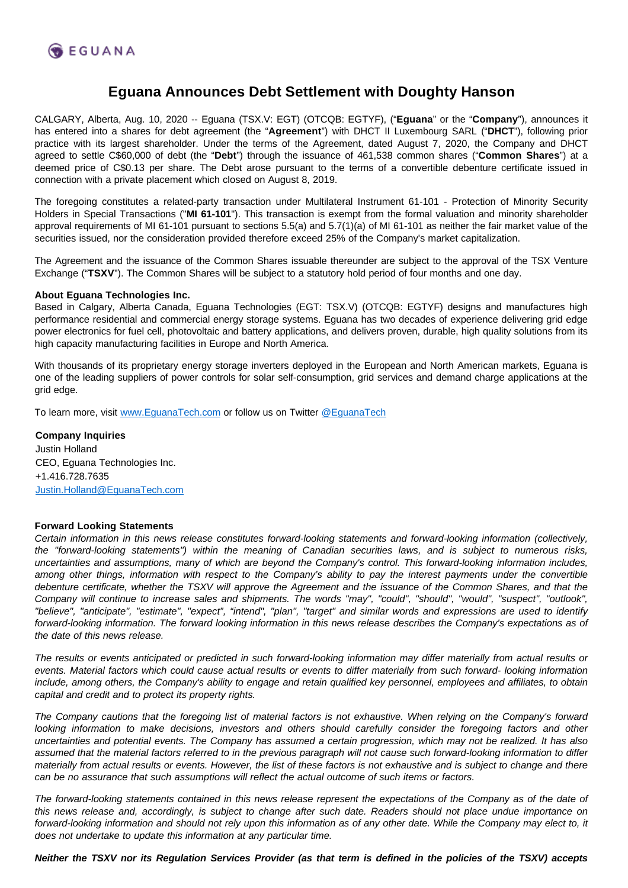

## **Eguana Announces Debt Settlement with Doughty Hanson**

CALGARY, Alberta, Aug. 10, 2020 -- Eguana (TSX.V: EGT) (OTCQB: EGTYF), ("**Eguana**" or the "**Company**"), announces it has entered into a shares for debt agreement (the "**Agreement**") with DHCT II Luxembourg SARL ("**DHCT**"), following prior practice with its largest shareholder. Under the terms of the Agreement, dated August 7, 2020, the Company and DHCT agreed to settle C\$60,000 of debt (the "**Debt**") through the issuance of 461,538 common shares ("**Common Shares**") at a deemed price of C\$0.13 per share. The Debt arose pursuant to the terms of a convertible debenture certificate issued in connection with a private placement which closed on August 8, 2019.

The foregoing constitutes a related-party transaction under Multilateral Instrument 61-101 - Protection of Minority Security Holders in Special Transactions ("**MI 61-101**"). This transaction is exempt from the formal valuation and minority shareholder approval requirements of MI 61-101 pursuant to sections 5.5(a) and 5.7(1)(a) of MI 61-101 as neither the fair market value of the securities issued, nor the consideration provided therefore exceed 25% of the Company's market capitalization.

The Agreement and the issuance of the Common Shares issuable thereunder are subject to the approval of the TSX Venture Exchange ("**TSXV**"). The Common Shares will be subject to a statutory hold period of four months and one day.

## **About Eguana Technologies Inc.**

Based in Calgary, Alberta Canada, Eguana Technologies (EGT: TSX.V) (OTCQB: EGTYF) designs and manufactures high performance residential and commercial energy storage systems. Eguana has two decades of experience delivering grid edge power electronics for fuel cell, photovoltaic and battery applications, and delivers proven, durable, high quality solutions from its high capacity manufacturing facilities in Europe and North America.

With thousands of its proprietary energy storage inverters deployed in the European and North American markets, Eguana is one of the leading suppliers of power controls for solar self-consumption, grid services and demand charge applications at the grid edge.

To learn more, visit [www.EguanaTech.com](http://www.eguanatech.com/) or follow us on Twitter [@EguanaTech](https://twitter.com/EguanaTech)

**Company Inquiries** Justin Holland CEO, Eguana Technologies Inc. +1.416.728.7635 [Justin.Holland@EguanaTech.com](mailto:Justin.Holland@EguanaTech.com)

## **Forward Looking Statements**

Certain information in this news release constitutes forward-looking statements and forward-looking information (collectively, the "forward-looking statements") within the meaning of Canadian securities laws, and is subject to numerous risks, uncertainties and assumptions, many of which are beyond the Company's control. This forward-looking information includes, among other things, information with respect to the Company's ability to pay the interest payments under the convertible debenture certificate, whether the TSXV will approve the Agreement and the issuance of the Common Shares, and that the Company will continue to increase sales and shipments. The words "may", "could", "should", "would", "suspect", "outlook", "believe", "anticipate", "estimate", "expect", "intend", "plan", "target" and similar words and expressions are used to identify forward-looking information. The forward looking information in this news release describes the Company's expectations as of the date of this news release.

The results or events anticipated or predicted in such forward-looking information may differ materially from actual results or events. Material factors which could cause actual results or events to differ materially from such forward- looking information include, among others, the Company's ability to engage and retain qualified key personnel, employees and affiliates, to obtain capital and credit and to protect its property rights.

The Company cautions that the foregoing list of material factors is not exhaustive. When relying on the Company's forward looking information to make decisions, investors and others should carefully consider the foregoing factors and other uncertainties and potential events. The Company has assumed a certain progression, which may not be realized. It has also assumed that the material factors referred to in the previous paragraph will not cause such forward-looking information to differ materially from actual results or events. However, the list of these factors is not exhaustive and is subject to change and there can be no assurance that such assumptions will reflect the actual outcome of such items or factors.

The forward-looking statements contained in this news release represent the expectations of the Company as of the date of this news release and, accordingly, is subject to change after such date. Readers should not place undue importance on forward-looking information and should not rely upon this information as of any other date. While the Company may elect to, it does not undertake to update this information at any particular time.

**Neither the TSXV nor its Regulation Services Provider (as that term is defined in the policies of the TSXV) accepts**